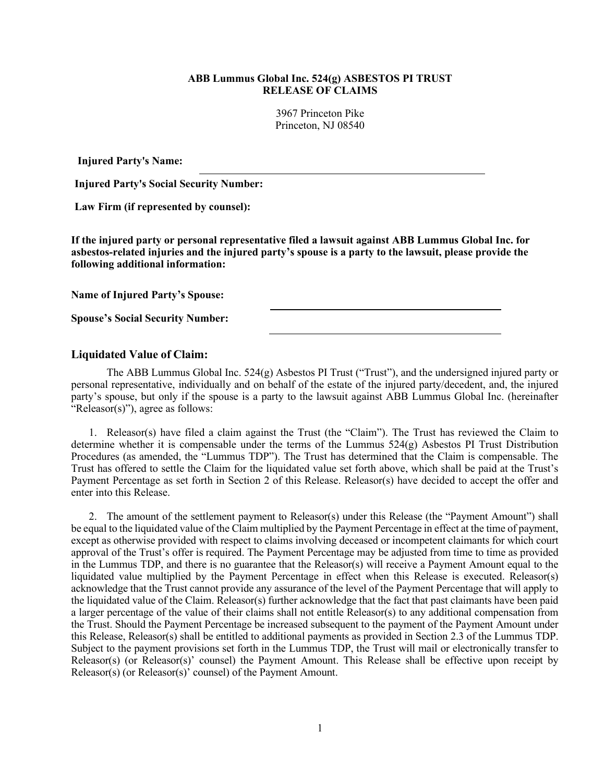## **ABB Lummus Global Inc. 524(g) ASBESTOS PI TRUST RELEASE OF CLAIMS**

3967 Princeton Pike Princeton, NJ 08540

**Injured Party's Name:**

**Injured Party's Social Security Number:**

**Law Firm (if represented by counsel):**

**If the injured party or personal representative filed a lawsuit against ABB Lummus Global Inc. for asbestos-related injuries and the injured party's spouse is a party to the lawsuit, please provide the following additional information:**

**Name of Injured Party's Spouse:**

**Spouse's Social Security Number:**

## **Liquidated Value of Claim:**

The ABB Lummus Global Inc.  $524(g)$  Asbestos PI Trust ("Trust"), and the undersigned injured party or personal representative, individually and on behalf of the estate of the injured party/decedent, and, the injured party's spouse, but only if the spouse is a party to the lawsuit against ABB Lummus Global Inc. (hereinafter "Releasor(s)"), agree as follows:

1. Releasor(s) have filed a claim against the Trust (the "Claim"). The Trust has reviewed the Claim to determine whether it is compensable under the terms of the Lummus 524(g) Asbestos PI Trust Distribution Procedures (as amended, the "Lummus TDP"). The Trust has determined that the Claim is compensable. The Trust has offered to settle the Claim for the liquidated value set forth above, which shall be paid at the Trust's Payment Percentage as set forth in Section 2 of this Release. Releasor(s) have decided to accept the offer and enter into this Release.

2. The amount of the settlement payment to Releasor(s) under this Release (the "Payment Amount") shall be equal to the liquidated value of the Claim multiplied by the Payment Percentage in effect at the time of payment, except as otherwise provided with respect to claims involving deceased or incompetent claimants for which court approval of the Trust's offer is required. The Payment Percentage may be adjusted from time to time as provided in the Lummus TDP, and there is no guarantee that the Releasor(s) will receive a Payment Amount equal to the liquidated value multiplied by the Payment Percentage in effect when this Release is executed. Releasor(s) acknowledge that the Trust cannot provide any assurance of the level of the Payment Percentage that will apply to the liquidated value of the Claim. Releasor(s) further acknowledge that the fact that past claimants have been paid a larger percentage of the value of their claims shall not entitle Releasor(s) to any additional compensation from the Trust. Should the Payment Percentage be increased subsequent to the payment of the Payment Amount under this Release, Releasor(s) shall be entitled to additional payments as provided in Section 2.3 of the Lummus TDP. Subject to the payment provisions set forth in the Lummus TDP, the Trust will mail or electronically transfer to Releasor(s) (or Releasor(s)' counsel) the Payment Amount. This Release shall be effective upon receipt by Releasor(s) (or Releasor(s)' counsel) of the Payment Amount.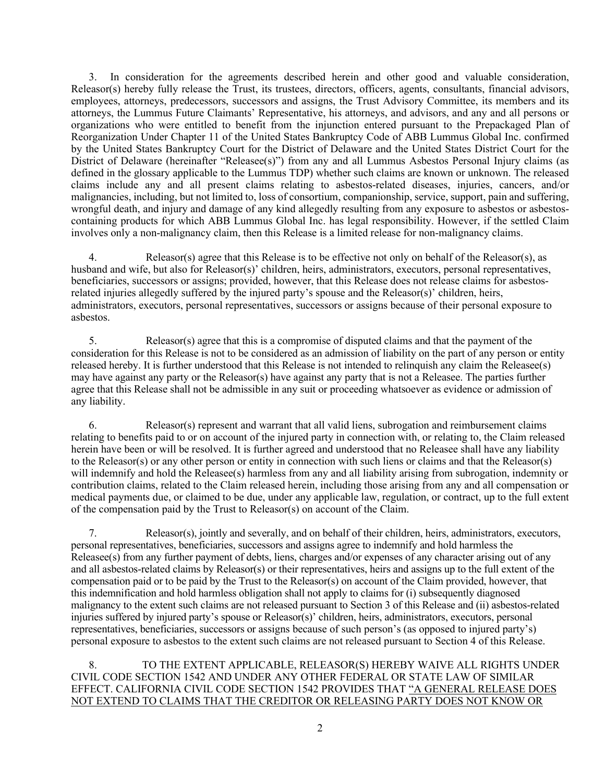3. In consideration for the agreements described herein and other good and valuable consideration, Releasor(s) hereby fully release the Trust, its trustees, directors, officers, agents, consultants, financial advisors, employees, attorneys, predecessors, successors and assigns, the Trust Advisory Committee, its members and its attorneys, the Lummus Future Claimants' Representative, his attorneys, and advisors, and any and all persons or organizations who were entitled to benefit from the injunction entered pursuant to the Prepackaged Plan of Reorganization Under Chapter 11 of the United States Bankruptcy Code of ABB Lummus Global Inc. confirmed by the United States Bankruptcy Court for the District of Delaware and the United States District Court for the District of Delaware (hereinafter "Releasee(s)") from any and all Lummus Asbestos Personal Injury claims (as defined in the glossary applicable to the Lummus TDP) whether such claims are known or unknown. The released claims include any and all present claims relating to asbestos-related diseases, injuries, cancers, and/or malignancies, including, but not limited to, loss of consortium, companionship, service, support, pain and suffering, wrongful death, and injury and damage of any kind allegedly resulting from any exposure to asbestos or asbestoscontaining products for which ABB Lummus Global Inc. has legal responsibility. However, if the settled Claim involves only a non-malignancy claim, then this Release is a limited release for non-malignancy claims.

4. Releasor(s) agree that this Release is to be effective not only on behalf of the Releasor(s), as husband and wife, but also for Releasor(s)' children, heirs, administrators, executors, personal representatives, beneficiaries, successors or assigns; provided, however, that this Release does not release claims for asbestosrelated injuries allegedly suffered by the injured party's spouse and the Releasor(s)' children, heirs, administrators, executors, personal representatives, successors or assigns because of their personal exposure to asbestos.

5. Releasor(s) agree that this is a compromise of disputed claims and that the payment of the consideration for this Release is not to be considered as an admission of liability on the part of any person or entity released hereby. It is further understood that this Release is not intended to relinquish any claim the Releasee(s) may have against any party or the Releasor(s) have against any party that is not a Releasee. The parties further agree that this Release shall not be admissible in any suit or proceeding whatsoever as evidence or admission of any liability.

6. Releasor(s) represent and warrant that all valid liens, subrogation and reimbursement claims relating to benefits paid to or on account of the injured party in connection with, or relating to, the Claim released herein have been or will be resolved. It is further agreed and understood that no Releasee shall have any liability to the Releasor(s) or any other person or entity in connection with such liens or claims and that the Releasor(s) will indemnify and hold the Releasee(s) harmless from any and all liability arising from subrogation, indemnity or contribution claims, related to the Claim released herein, including those arising from any and all compensation or medical payments due, or claimed to be due, under any applicable law, regulation, or contract, up to the full extent of the compensation paid by the Trust to Releasor(s) on account of the Claim.

7. Releasor(s), jointly and severally, and on behalf of their children, heirs, administrators, executors, personal representatives, beneficiaries, successors and assigns agree to indemnify and hold harmless the Releasee(s) from any further payment of debts, liens, charges and/or expenses of any character arising out of any and all asbestos-related claims by Releasor(s) or their representatives, heirs and assigns up to the full extent of the compensation paid or to be paid by the Trust to the Releasor(s) on account of the Claim provided, however, that this indemnification and hold harmless obligation shall not apply to claims for (i) subsequently diagnosed malignancy to the extent such claims are not released pursuant to Section 3 of this Release and (ii) asbestos-related injuries suffered by injured party's spouse or Releasor(s)' children, heirs, administrators, executors, personal representatives, beneficiaries, successors or assigns because of such person's (as opposed to injured party's) personal exposure to asbestos to the extent such claims are not released pursuant to Section 4 of this Release.

## 8. TO THE EXTENT APPLICABLE, RELEASOR(S) HEREBY WAIVE ALL RIGHTS UNDER CIVIL CODE SECTION 1542 AND UNDER ANY OTHER FEDERAL OR STATE LAW OF SIMILAR EFFECT. CALIFORNIA CIVIL CODE SECTION 1542 PROVIDES THAT "A GENERAL RELEASE DOES NOT EXTEND TO CLAIMS THAT THE CREDITOR OR RELEASING PARTY DOES NOT KNOW OR